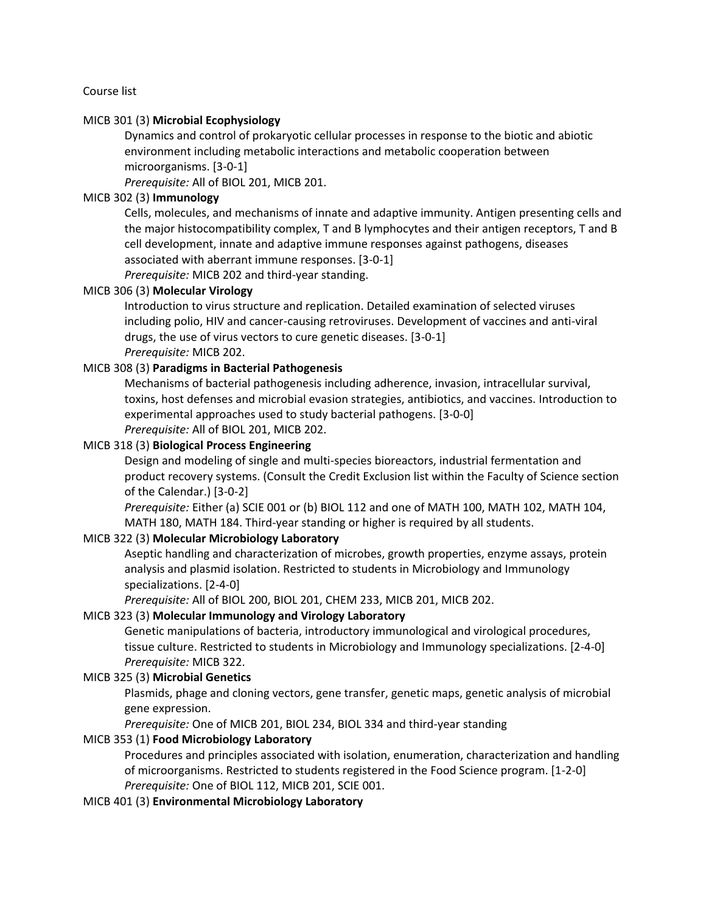Course list

## MICB 301 (3) **Microbial Ecophysiology**

Dynamics and control of prokaryotic cellular processes in response to the biotic and abiotic environment including metabolic interactions and metabolic cooperation between microorganisms. [3-0-1]

*Prerequisite:* All of BIOL 201, MICB 201.

## MICB 302 (3) **Immunology**

Cells, molecules, and mechanisms of innate and adaptive immunity. Antigen presenting cells and the major histocompatibility complex, T and B lymphocytes and their antigen receptors, T and B cell development, innate and adaptive immune responses against pathogens, diseases associated with aberrant immune responses. [3-0-1]

*Prerequisite:* MICB 202 and third-year standing.

#### MICB 306 (3) **Molecular Virology**

Introduction to virus structure and replication. Detailed examination of selected viruses including polio, HIV and cancer-causing retroviruses. Development of vaccines and anti-viral drugs, the use of virus vectors to cure genetic diseases. [3-0-1] *Prerequisite:* MICB 202.

## MICB 308 (3) **Paradigms in Bacterial Pathogenesis**

Mechanisms of bacterial pathogenesis including adherence, invasion, intracellular survival, toxins, host defenses and microbial evasion strategies, antibiotics, and vaccines. Introduction to experimental approaches used to study bacterial pathogens. [3-0-0] *Prerequisite:* All of BIOL 201, MICB 202.

## MICB 318 (3) **Biological Process Engineering**

Design and modeling of single and multi-species bioreactors, industrial fermentation and product recovery systems. (Consult the Credit Exclusion list within the Faculty of Science section of the Calendar.) [3-0-2]

*Prerequisite:* Either (a) SCIE 001 or (b) BIOL 112 and one of MATH 100, MATH 102, MATH 104, MATH 180, MATH 184. Third-year standing or higher is required by all students.

#### MICB 322 (3) **Molecular Microbiology Laboratory**

Aseptic handling and characterization of microbes, growth properties, enzyme assays, protein analysis and plasmid isolation. Restricted to students in Microbiology and Immunology specializations. [2-4-0]

*Prerequisite:* All of BIOL 200, BIOL 201, CHEM 233, MICB 201, MICB 202.

#### MICB 323 (3) **Molecular Immunology and Virology Laboratory**

Genetic manipulations of bacteria, introductory immunological and virological procedures, tissue culture. Restricted to students in Microbiology and Immunology specializations. [2-4-0] *Prerequisite:* MICB 322.

#### MICB 325 (3) **Microbial Genetics**

Plasmids, phage and cloning vectors, gene transfer, genetic maps, genetic analysis of microbial gene expression.

*Prerequisite:* One of MICB 201, BIOL 234, BIOL 334 and third-year standing

## MICB 353 (1) **Food Microbiology Laboratory**

Procedures and principles associated with isolation, enumeration, characterization and handling of microorganisms. Restricted to students registered in the Food Science program. [1-2-0] *Prerequisite:* One of BIOL 112, MICB 201, SCIE 001.

MICB 401 (3) **Environmental Microbiology Laboratory**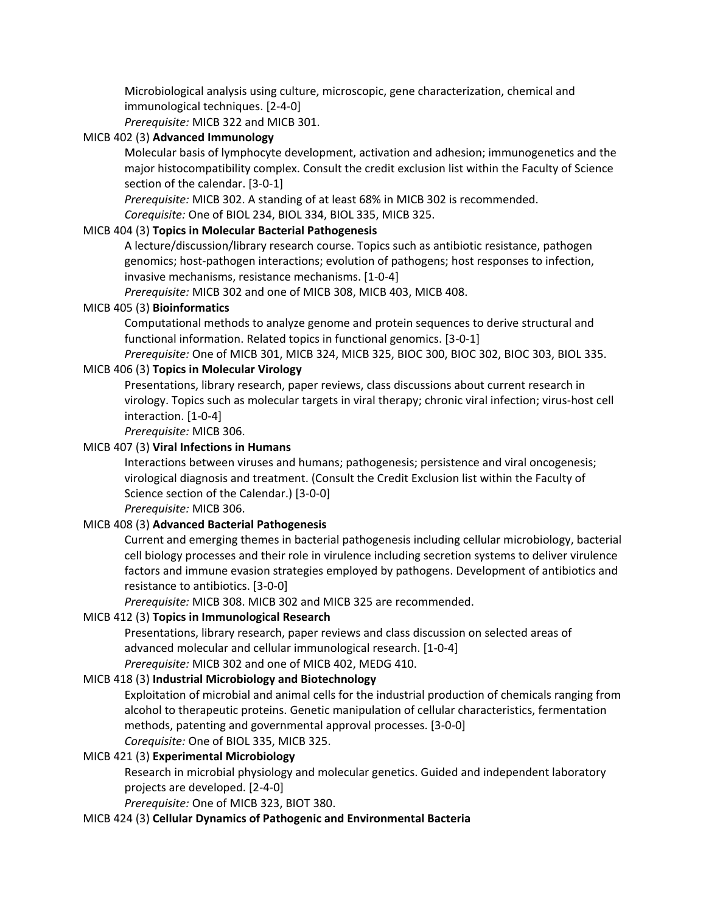Microbiological analysis using culture, microscopic, gene characterization, chemical and immunological techniques. [2-4-0]

*Prerequisite:* MICB 322 and MICB 301.

# MICB 402 (3) **Advanced Immunology**

Molecular basis of lymphocyte development, activation and adhesion; immunogenetics and the major histocompatibility complex. Consult the credit exclusion list within the Faculty of Science section of the calendar. [3-0-1]

*Prerequisite:* MICB 302. A standing of at least 68% in MICB 302 is recommended.

*Corequisite:* One of BIOL 234, BIOL 334, BIOL 335, MICB 325.

# MICB 404 (3) **Topics in Molecular Bacterial Pathogenesis**

A lecture/discussion/library research course. Topics such as antibiotic resistance, pathogen genomics; host-pathogen interactions; evolution of pathogens; host responses to infection, invasive mechanisms, resistance mechanisms. [1-0-4]

*Prerequisite:* MICB 302 and one of MICB 308, MICB 403, MICB 408.

# MICB 405 (3) **Bioinformatics**

Computational methods to analyze genome and protein sequences to derive structural and functional information. Related topics in functional genomics. [3-0-1]

*Prerequisite:* One of MICB 301, MICB 324, MICB 325, BIOC 300, BIOC 302, BIOC 303, BIOL 335.

# MICB 406 (3) **Topics in Molecular Virology**

Presentations, library research, paper reviews, class discussions about current research in virology. Topics such as molecular targets in viral therapy; chronic viral infection; virus-host cell interaction. [1-0-4]

*Prerequisite:* MICB 306.

# MICB 407 (3) **Viral Infections in Humans**

Interactions between viruses and humans; pathogenesis; persistence and viral oncogenesis; virological diagnosis and treatment. (Consult the Credit Exclusion list within the Faculty of Science section of the Calendar.) [3-0-0]

*Prerequisite:* MICB 306.

## MICB 408 (3) **Advanced Bacterial Pathogenesis**

Current and emerging themes in bacterial pathogenesis including cellular microbiology, bacterial cell biology processes and their role in virulence including secretion systems to deliver virulence factors and immune evasion strategies employed by pathogens. Development of antibiotics and resistance to antibiotics. [3-0-0]

*Prerequisite:* MICB 308. MICB 302 and MICB 325 are recommended.

# MICB 412 (3) **Topics in Immunological Research**

Presentations, library research, paper reviews and class discussion on selected areas of advanced molecular and cellular immunological research. [1-0-4] *Prerequisite:* MICB 302 and one of MICB 402, MEDG 410.

# MICB 418 (3) **Industrial Microbiology and Biotechnology**

Exploitation of microbial and animal cells for the industrial production of chemicals ranging from alcohol to therapeutic proteins. Genetic manipulation of cellular characteristics, fermentation methods, patenting and governmental approval processes. [3-0-0] *Corequisite:* One of BIOL 335, MICB 325.

## MICB 421 (3) **Experimental Microbiology**

Research in microbial physiology and molecular genetics. Guided and independent laboratory projects are developed. [2-4-0]

*Prerequisite:* One of MICB 323, BIOT 380.

## MICB 424 (3) **Cellular Dynamics of Pathogenic and Environmental Bacteria**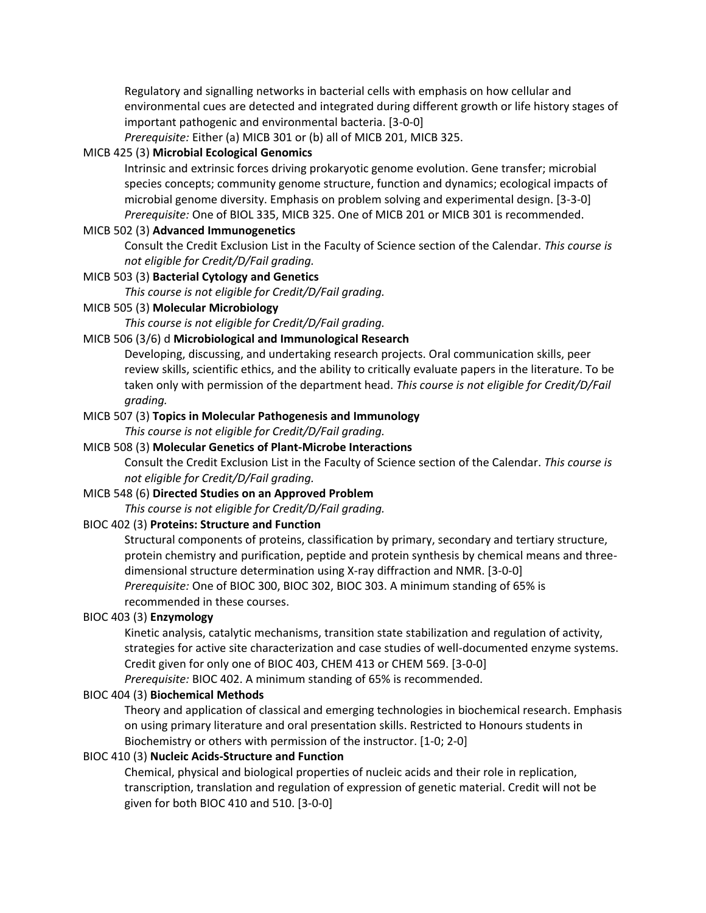Regulatory and signalling networks in bacterial cells with emphasis on how cellular and environmental cues are detected and integrated during different growth or life history stages of important pathogenic and environmental bacteria. [3-0-0]

*Prerequisite:* Either (a) MICB 301 or (b) all of MICB 201, MICB 325.

# MICB 425 (3) **Microbial Ecological Genomics**

Intrinsic and extrinsic forces driving prokaryotic genome evolution. Gene transfer; microbial species concepts; community genome structure, function and dynamics; ecological impacts of microbial genome diversity. Emphasis on problem solving and experimental design. [3-3-0] *Prerequisite:* One of BIOL 335, MICB 325. One of MICB 201 or MICB 301 is recommended.

# MICB 502 (3) **Advanced Immunogenetics**

Consult the Credit Exclusion List in the Faculty of Science section of the Calendar. *This course is not eligible for Credit/D/Fail grading.*

# MICB 503 (3) **Bacterial Cytology and Genetics**

*This course is not eligible for Credit/D/Fail grading.*

## MICB 505 (3) **Molecular Microbiology**

*This course is not eligible for Credit/D/Fail grading.*

## MICB 506 (3/6) d **Microbiological and Immunological Research**

Developing, discussing, and undertaking research projects. Oral communication skills, peer review skills, scientific ethics, and the ability to critically evaluate papers in the literature. To be taken only with permission of the department head. *This course is not eligible for Credit/D/Fail grading.*

## MICB 507 (3) **Topics in Molecular Pathogenesis and Immunology**

*This course is not eligible for Credit/D/Fail grading.*

## MICB 508 (3) **Molecular Genetics of Plant-Microbe Interactions**

Consult the Credit Exclusion List in the Faculty of Science section of the Calendar. *This course is not eligible for Credit/D/Fail grading.*

## MICB 548 (6) **Directed Studies on an Approved Problem**

*This course is not eligible for Credit/D/Fail grading.*

## BIOC 402 (3) **Proteins: Structure and Function**

Structural components of proteins, classification by primary, secondary and tertiary structure, protein chemistry and purification, peptide and protein synthesis by chemical means and threedimensional structure determination using X-ray diffraction and NMR. [3-0-0] *Prerequisite:* One of BIOC 300, BIOC 302, BIOC 303. A minimum standing of 65% is recommended in these courses.

## BIOC 403 (3) **Enzymology**

Kinetic analysis, catalytic mechanisms, transition state stabilization and regulation of activity, strategies for active site characterization and case studies of well-documented enzyme systems. Credit given for only one of BIOC 403, CHEM 413 or CHEM 569. [3-0-0]

*Prerequisite:* BIOC 402. A minimum standing of 65% is recommended.

## BIOC 404 (3) **Biochemical Methods**

Theory and application of classical and emerging technologies in biochemical research. Emphasis on using primary literature and oral presentation skills. Restricted to Honours students in Biochemistry or others with permission of the instructor. [1-0; 2-0]

## BIOC 410 (3) **Nucleic Acids-Structure and Function**

Chemical, physical and biological properties of nucleic acids and their role in replication, transcription, translation and regulation of expression of genetic material. Credit will not be given for both BIOC 410 and 510. [3-0-0]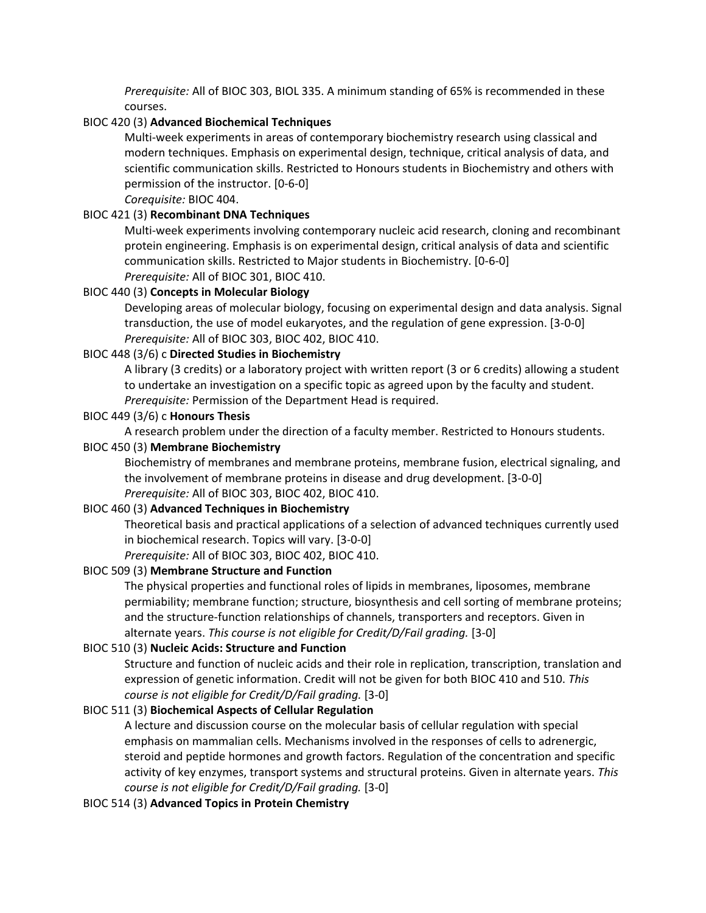*Prerequisite:* All of BIOC 303, BIOL 335. A minimum standing of 65% is recommended in these courses.

# BIOC 420 (3) **Advanced Biochemical Techniques**

Multi-week experiments in areas of contemporary biochemistry research using classical and modern techniques. Emphasis on experimental design, technique, critical analysis of data, and scientific communication skills. Restricted to Honours students in Biochemistry and others with permission of the instructor. [0-6-0]

*Corequisite:* BIOC 404.

# BIOC 421 (3) **Recombinant DNA Techniques**

Multi-week experiments involving contemporary nucleic acid research, cloning and recombinant protein engineering. Emphasis is on experimental design, critical analysis of data and scientific communication skills. Restricted to Major students in Biochemistry. [0-6-0] *Prerequisite:* All of BIOC 301, BIOC 410.

# BIOC 440 (3) **Concepts in Molecular Biology**

Developing areas of molecular biology, focusing on experimental design and data analysis. Signal transduction, the use of model eukaryotes, and the regulation of gene expression. [3-0-0] *Prerequisite:* All of BIOC 303, BIOC 402, BIOC 410.

# BIOC 448 (3/6) c **Directed Studies in Biochemistry**

A library (3 credits) or a laboratory project with written report (3 or 6 credits) allowing a student to undertake an investigation on a specific topic as agreed upon by the faculty and student. *Prerequisite:* Permission of the Department Head is required.

## BIOC 449 (3/6) c **Honours Thesis**

A research problem under the direction of a faculty member. Restricted to Honours students.

## BIOC 450 (3) **Membrane Biochemistry**

Biochemistry of membranes and membrane proteins, membrane fusion, electrical signaling, and the involvement of membrane proteins in disease and drug development. [3-0-0] *Prerequisite:* All of BIOC 303, BIOC 402, BIOC 410.

## BIOC 460 (3) **Advanced Techniques in Biochemistry**

Theoretical basis and practical applications of a selection of advanced techniques currently used in biochemical research. Topics will vary. [3-0-0]

*Prerequisite:* All of BIOC 303, BIOC 402, BIOC 410.

## BIOC 509 (3) **Membrane Structure and Function**

The physical properties and functional roles of lipids in membranes, liposomes, membrane permiability; membrane function; structure, biosynthesis and cell sorting of membrane proteins; and the structure-function relationships of channels, transporters and receptors. Given in alternate years. *This course is not eligible for Credit/D/Fail grading.* [3-0]

## BIOC 510 (3) **Nucleic Acids: Structure and Function**

Structure and function of nucleic acids and their role in replication, transcription, translation and expression of genetic information. Credit will not be given for both BIOC 410 and 510. *This course is not eligible for Credit/D/Fail grading.* [3-0]

## BIOC 511 (3) **Biochemical Aspects of Cellular Regulation**

A lecture and discussion course on the molecular basis of cellular regulation with special emphasis on mammalian cells. Mechanisms involved in the responses of cells to adrenergic, steroid and peptide hormones and growth factors. Regulation of the concentration and specific activity of key enzymes, transport systems and structural proteins. Given in alternate years. *This course is not eligible for Credit/D/Fail grading.* [3-0]

## BIOC 514 (3) **Advanced Topics in Protein Chemistry**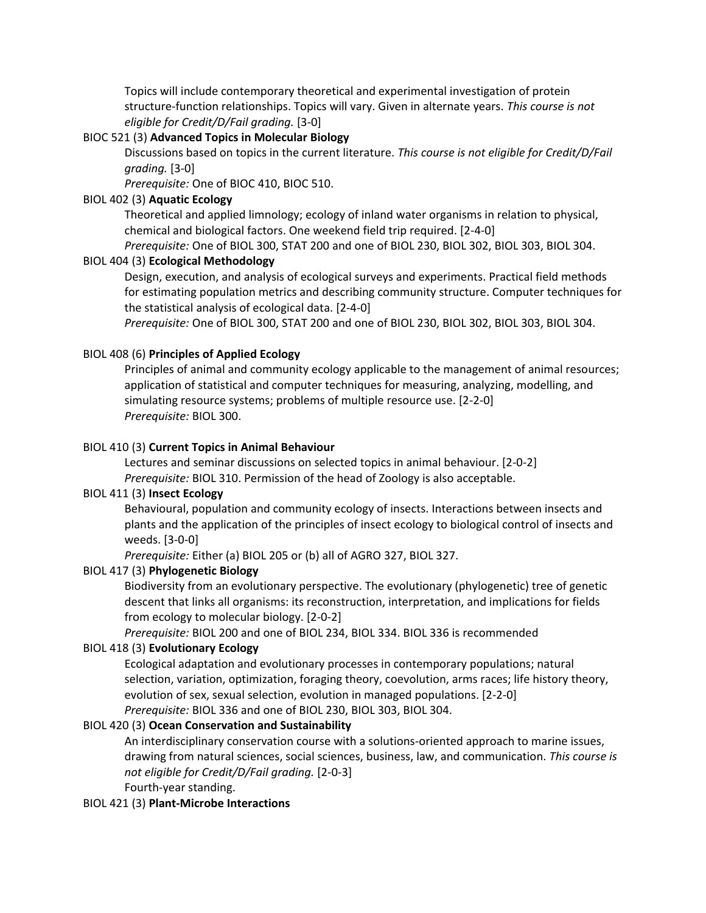Topics will include contemporary theoretical and experimental investigation of protein structure-function relationships. Topics will vary. Given in alternate years. *This course is not eligible for Credit/D/Fail grading.* [3-0]

# BIOC 521 (3) **Advanced Topics in Molecular Biology**

Discussions based on topics in the current literature. *This course is not eligible for Credit/D/Fail grading.* [3-0]

*Prerequisite:* One of BIOC 410, BIOC 510.

## BIOL 402 (3) **Aquatic Ecology**

Theoretical and applied limnology; ecology of inland water organisms in relation to physical, chemical and biological factors. One weekend field trip required. [2-4-0]

*Prerequisite:* One of BIOL 300, STAT 200 and one of BIOL 230, BIOL 302, BIOL 303, BIOL 304.

## BIOL 404 (3) **Ecological Methodology**

Design, execution, and analysis of ecological surveys and experiments. Practical field methods for estimating population metrics and describing community structure. Computer techniques for the statistical analysis of ecological data. [2-4-0]

*Prerequisite:* One of BIOL 300, STAT 200 and one of BIOL 230, BIOL 302, BIOL 303, BIOL 304.

# BIOL 408 (6) **Principles of Applied Ecology**

Principles of animal and community ecology applicable to the management of animal resources; application of statistical and computer techniques for measuring, analyzing, modelling, and simulating resource systems; problems of multiple resource use. [2-2-0] *Prerequisite:* BIOL 300.

# BIOL 410 (3) **Current Topics in Animal Behaviour**

Lectures and seminar discussions on selected topics in animal behaviour. [2-0-2] *Prerequisite:* BIOL 310. Permission of the head of Zoology is also acceptable.

## BIOL 411 (3) **Insect Ecology**

Behavioural, population and community ecology of insects. Interactions between insects and plants and the application of the principles of insect ecology to biological control of insects and weeds. [3-0-0]

*Prerequisite:* Either (a) BIOL 205 or (b) all of AGRO 327, BIOL 327.

# BIOL 417 (3) **Phylogenetic Biology**

Biodiversity from an evolutionary perspective. The evolutionary (phylogenetic) tree of genetic descent that links all organisms: its reconstruction, interpretation, and implications for fields from ecology to molecular biology. [2-0-2]

*Prerequisite:* BIOL 200 and one of BIOL 234, BIOL 334. BIOL 336 is recommended

## BIOL 418 (3) **Evolutionary Ecology**

Ecological adaptation and evolutionary processes in contemporary populations; natural selection, variation, optimization, foraging theory, coevolution, arms races; life history theory, evolution of sex, sexual selection, evolution in managed populations. [2-2-0] *Prerequisite:* BIOL 336 and one of BIOL 230, BIOL 303, BIOL 304.

## BIOL 420 (3) **Ocean Conservation and Sustainability**

An interdisciplinary conservation course with a solutions-oriented approach to marine issues, drawing from natural sciences, social sciences, business, law, and communication. *This course is not eligible for Credit/D/Fail grading.* [2-0-3]

Fourth-year standing.

## BIOL 421 (3) **Plant-Microbe Interactions**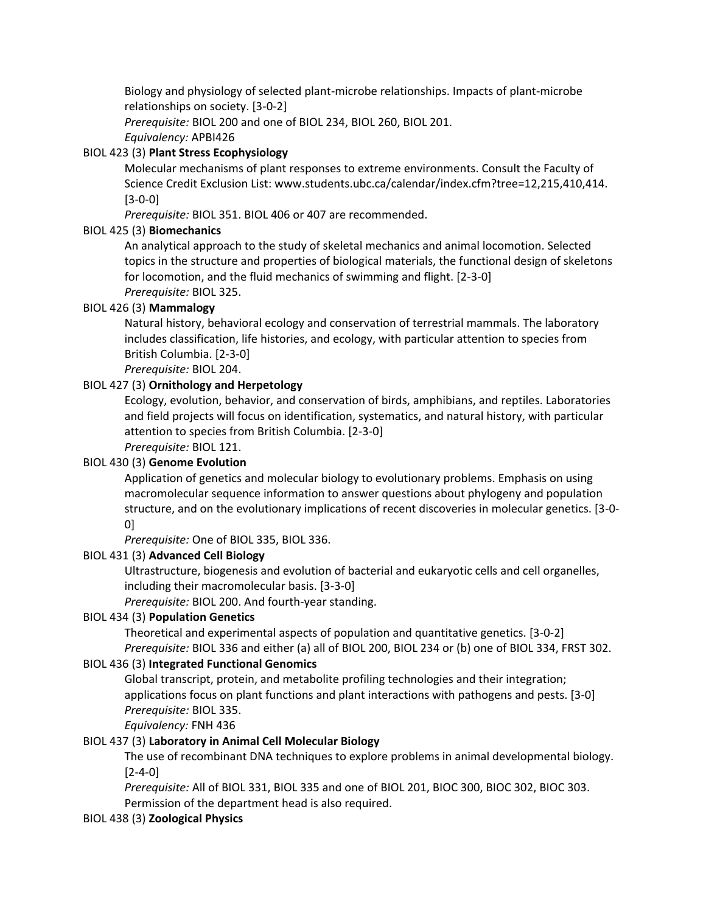Biology and physiology of selected plant-microbe relationships. Impacts of plant-microbe relationships on society. [3-0-2]

*Prerequisite:* BIOL 200 and one of BIOL 234, BIOL 260, BIOL 201.

*Equivalency:* APBI426

## BIOL 423 (3) **Plant Stress Ecophysiology**

Molecular mechanisms of plant responses to extreme environments. Consult the Faculty of Science Credit Exclusion List: www.students.ubc.ca/calendar/index.cfm?tree=12,215,410,414. [3-0-0]

*Prerequisite:* BIOL 351. BIOL 406 or 407 are recommended.

## BIOL 425 (3) **Biomechanics**

An analytical approach to the study of skeletal mechanics and animal locomotion. Selected topics in the structure and properties of biological materials, the functional design of skeletons for locomotion, and the fluid mechanics of swimming and flight. [2-3-0] *Prerequisite:* BIOL 325.

#### BIOL 426 (3) **Mammalogy**

Natural history, behavioral ecology and conservation of terrestrial mammals. The laboratory includes classification, life histories, and ecology, with particular attention to species from British Columbia. [2-3-0]

*Prerequisite:* BIOL 204.

#### BIOL 427 (3) **Ornithology and Herpetology**

Ecology, evolution, behavior, and conservation of birds, amphibians, and reptiles. Laboratories and field projects will focus on identification, systematics, and natural history, with particular attention to species from British Columbia. [2-3-0]

*Prerequisite:* BIOL 121.

#### BIOL 430 (3) **Genome Evolution**

Application of genetics and molecular biology to evolutionary problems. Emphasis on using macromolecular sequence information to answer questions about phylogeny and population structure, and on the evolutionary implications of recent discoveries in molecular genetics. [3-0- 0]

*Prerequisite:* One of BIOL 335, BIOL 336.

#### BIOL 431 (3) **Advanced Cell Biology**

Ultrastructure, biogenesis and evolution of bacterial and eukaryotic cells and cell organelles, including their macromolecular basis. [3-3-0]

*Prerequisite:* BIOL 200. And fourth-year standing.

#### BIOL 434 (3) **Population Genetics**

Theoretical and experimental aspects of population and quantitative genetics. [3-0-2] *Prerequisite:* BIOL 336 and either (a) all of BIOL 200, BIOL 234 or (b) one of BIOL 334, FRST 302.

#### BIOL 436 (3) **Integrated Functional Genomics**

Global transcript, protein, and metabolite profiling technologies and their integration; applications focus on plant functions and plant interactions with pathogens and pests. [3-0] *Prerequisite:* BIOL 335.

*Equivalency:* FNH 436

#### BIOL 437 (3) **Laboratory in Animal Cell Molecular Biology**

The use of recombinant DNA techniques to explore problems in animal developmental biology. [2-4-0]

*Prerequisite:* All of BIOL 331, BIOL 335 and one of BIOL 201, BIOC 300, BIOC 302, BIOC 303. Permission of the department head is also required.

## BIOL 438 (3) **Zoological Physics**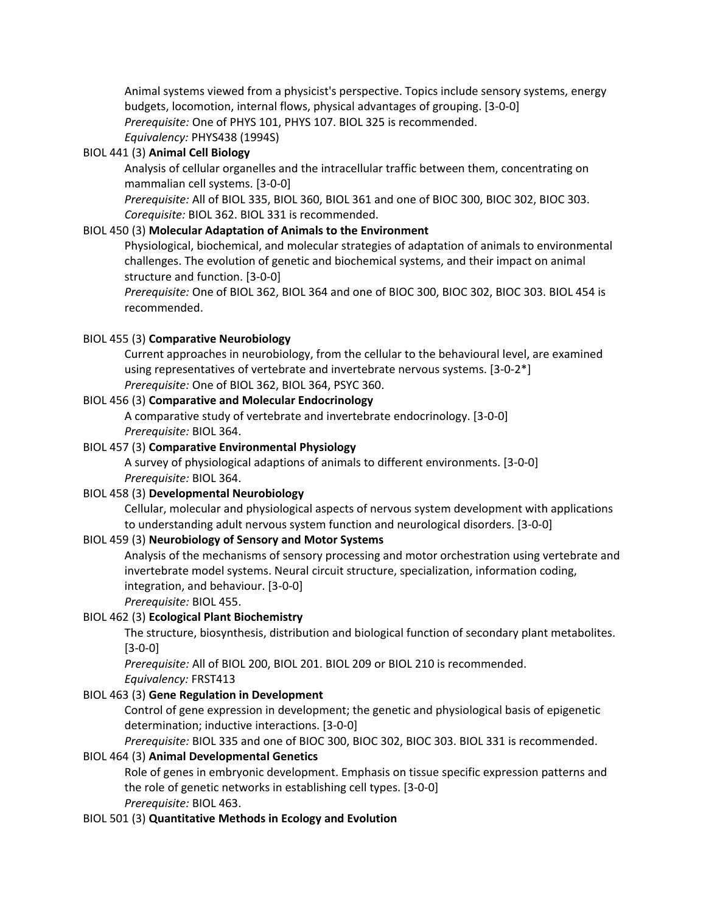Animal systems viewed from a physicist's perspective. Topics include sensory systems, energy budgets, locomotion, internal flows, physical advantages of grouping. [3-0-0] *Prerequisite:* One of PHYS 101, PHYS 107. BIOL 325 is recommended.

*Equivalency:* PHYS438 (1994S)

## BIOL 441 (3) **Animal Cell Biology**

Analysis of cellular organelles and the intracellular traffic between them, concentrating on mammalian cell systems. [3-0-0]

*Prerequisite:* All of BIOL 335, BIOL 360, BIOL 361 and one of BIOC 300, BIOC 302, BIOC 303. *Corequisite:* BIOL 362. BIOL 331 is recommended.

## BIOL 450 (3) **Molecular Adaptation of Animals to the Environment**

Physiological, biochemical, and molecular strategies of adaptation of animals to environmental challenges. The evolution of genetic and biochemical systems, and their impact on animal structure and function. [3-0-0]

*Prerequisite:* One of BIOL 362, BIOL 364 and one of BIOC 300, BIOC 302, BIOC 303. BIOL 454 is recommended.

#### BIOL 455 (3) **Comparative Neurobiology**

Current approaches in neurobiology, from the cellular to the behavioural level, are examined using representatives of vertebrate and invertebrate nervous systems. [3-0-2\*] *Prerequisite:* One of BIOL 362, BIOL 364, PSYC 360.

#### BIOL 456 (3) **Comparative and Molecular Endocrinology**

A comparative study of vertebrate and invertebrate endocrinology. [3-0-0] *Prerequisite:* BIOL 364.

## BIOL 457 (3) **Comparative Environmental Physiology**

A survey of physiological adaptions of animals to different environments. [3-0-0] *Prerequisite:* BIOL 364.

#### BIOL 458 (3) **Developmental Neurobiology**

Cellular, molecular and physiological aspects of nervous system development with applications to understanding adult nervous system function and neurological disorders. [3-0-0]

#### BIOL 459 (3) **Neurobiology of Sensory and Motor Systems**

Analysis of the mechanisms of sensory processing and motor orchestration using vertebrate and invertebrate model systems. Neural circuit structure, specialization, information coding, integration, and behaviour. [3-0-0]

## *Prerequisite:* BIOL 455.

#### BIOL 462 (3) **Ecological Plant Biochemistry**

The structure, biosynthesis, distribution and biological function of secondary plant metabolites. [3-0-0]

*Prerequisite:* All of BIOL 200, BIOL 201. BIOL 209 or BIOL 210 is recommended. *Equivalency:* FRST413

#### BIOL 463 (3) **Gene Regulation in Development**

Control of gene expression in development; the genetic and physiological basis of epigenetic determination; inductive interactions. [3-0-0]

*Prerequisite:* BIOL 335 and one of BIOC 300, BIOC 302, BIOC 303. BIOL 331 is recommended.

#### BIOL 464 (3) **Animal Developmental Genetics**

Role of genes in embryonic development. Emphasis on tissue specific expression patterns and the role of genetic networks in establishing cell types. [3-0-0] *Prerequisite:* BIOL 463.

#### BIOL 501 (3) **Quantitative Methods in Ecology and Evolution**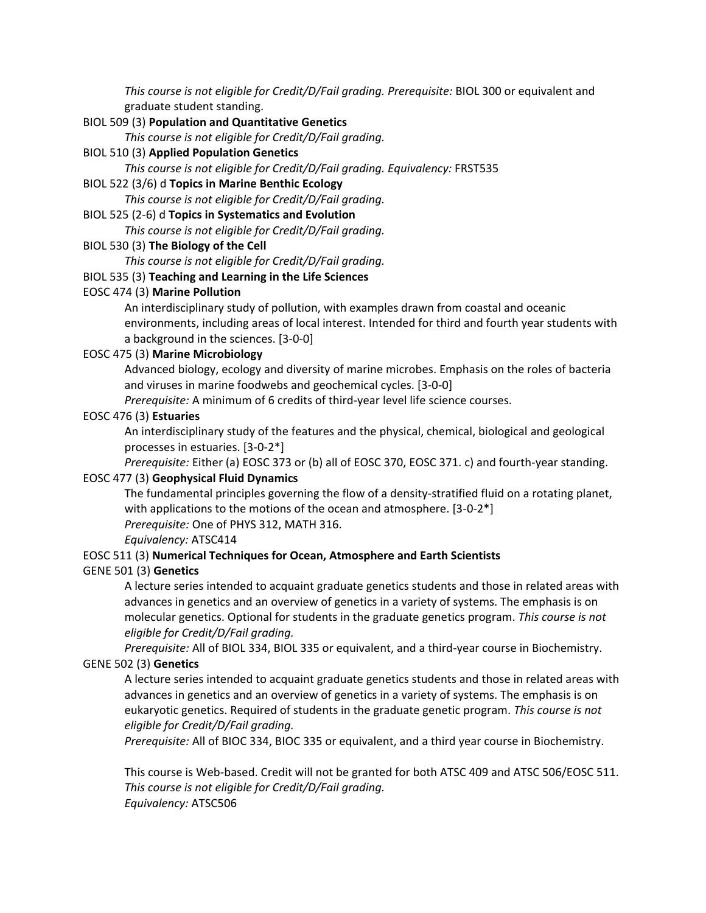*This course is not eligible for Credit/D/Fail grading. Prerequisite:* BIOL 300 or equivalent and graduate student standing.

#### BIOL 509 (3) **Population and Quantitative Genetics**

*This course is not eligible for Credit/D/Fail grading.*

#### BIOL 510 (3) **Applied Population Genetics**

*This course is not eligible for Credit/D/Fail grading. Equivalency:* FRST535

#### BIOL 522 (3/6) d **Topics in Marine Benthic Ecology**

*This course is not eligible for Credit/D/Fail grading.*

#### BIOL 525 (2-6) d **Topics in Systematics and Evolution**

*This course is not eligible for Credit/D/Fail grading.*

#### BIOL 530 (3) **The Biology of the Cell**

*This course is not eligible for Credit/D/Fail grading.*

#### BIOL 535 (3) **Teaching and Learning in the Life Sciences**

#### EOSC 474 (3) **Marine Pollution**

An interdisciplinary study of pollution, with examples drawn from coastal and oceanic environments, including areas of local interest. Intended for third and fourth year students with a background in the sciences. [3-0-0]

#### EOSC 475 (3) **Marine Microbiology**

Advanced biology, ecology and diversity of marine microbes. Emphasis on the roles of bacteria and viruses in marine foodwebs and geochemical cycles. [3-0-0]

*Prerequisite:* A minimum of 6 credits of third-year level life science courses.

#### EOSC 476 (3) **Estuaries**

An interdisciplinary study of the features and the physical, chemical, biological and geological processes in estuaries. [3-0-2\*]

*Prerequisite:* Either (a) EOSC 373 or (b) all of EOSC 370, EOSC 371. c) and fourth-year standing.

## EOSC 477 (3) **Geophysical Fluid Dynamics**

The fundamental principles governing the flow of a density-stratified fluid on a rotating planet, with applications to the motions of the ocean and atmosphere. [3-0-2<sup>\*</sup>] *Prerequisite:* One of PHYS 312, MATH 316.

*Equivalency:* ATSC414

## EOSC 511 (3) **Numerical Techniques for Ocean, Atmosphere and Earth Scientists**

## GENE 501 (3) **Genetics**

A lecture series intended to acquaint graduate genetics students and those in related areas with advances in genetics and an overview of genetics in a variety of systems. The emphasis is on molecular genetics. Optional for students in the graduate genetics program. *This course is not eligible for Credit/D/Fail grading.*

*Prerequisite:* All of BIOL 334, BIOL 335 or equivalent, and a third-year course in Biochemistry. GENE 502 (3) **Genetics**

A lecture series intended to acquaint graduate genetics students and those in related areas with advances in genetics and an overview of genetics in a variety of systems. The emphasis is on eukaryotic genetics. Required of students in the graduate genetic program. *This course is not eligible for Credit/D/Fail grading.*

*Prerequisite:* All of BIOC 334, BIOC 335 or equivalent, and a third year course in Biochemistry.

This course is Web-based. Credit will not be granted for both ATSC 409 and ATSC 506/EOSC 511. *This course is not eligible for Credit/D/Fail grading. Equivalency:* ATSC506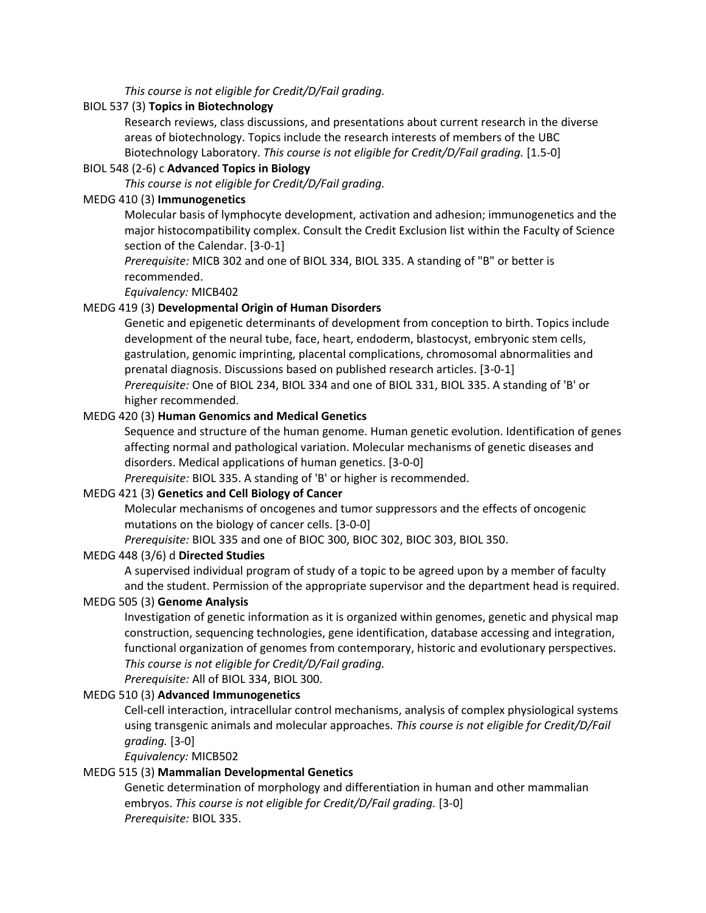*This course is not eligible for Credit/D/Fail grading.*

#### BIOL 537 (3) **Topics in Biotechnology**

Research reviews, class discussions, and presentations about current research in the diverse areas of biotechnology. Topics include the research interests of members of the UBC Biotechnology Laboratory. *This course is not eligible for Credit/D/Fail grading.* [1.5-0]

## BIOL 548 (2-6) c **Advanced Topics in Biology**

*This course is not eligible for Credit/D/Fail grading.*

#### MEDG 410 (3) **Immunogenetics**

Molecular basis of lymphocyte development, activation and adhesion; immunogenetics and the major histocompatibility complex. Consult the Credit Exclusion list within the Faculty of Science section of the Calendar. [3-0-1]

*Prerequisite:* MICB 302 and one of BIOL 334, BIOL 335. A standing of "B" or better is recommended.

*Equivalency:* MICB402

#### MEDG 419 (3) **Developmental Origin of Human Disorders**

Genetic and epigenetic determinants of development from conception to birth. Topics include development of the neural tube, face, heart, endoderm, blastocyst, embryonic stem cells, gastrulation, genomic imprinting, placental complications, chromosomal abnormalities and prenatal diagnosis. Discussions based on published research articles. [3-0-1] *Prerequisite:* One of BIOL 234, BIOL 334 and one of BIOL 331, BIOL 335. A standing of 'B' or higher recommended.

#### MEDG 420 (3) **Human Genomics and Medical Genetics**

Sequence and structure of the human genome. Human genetic evolution. Identification of genes affecting normal and pathological variation. Molecular mechanisms of genetic diseases and disorders. Medical applications of human genetics. [3-0-0]

*Prerequisite:* BIOL 335. A standing of 'B' or higher is recommended.

## MEDG 421 (3) **Genetics and Cell Biology of Cancer**

Molecular mechanisms of oncogenes and tumor suppressors and the effects of oncogenic mutations on the biology of cancer cells. [3-0-0]

*Prerequisite:* BIOL 335 and one of BIOC 300, BIOC 302, BIOC 303, BIOL 350.

#### MEDG 448 (3/6) d **Directed Studies**

A supervised individual program of study of a topic to be agreed upon by a member of faculty and the student. Permission of the appropriate supervisor and the department head is required.

#### MEDG 505 (3) **Genome Analysis**

Investigation of genetic information as it is organized within genomes, genetic and physical map construction, sequencing technologies, gene identification, database accessing and integration, functional organization of genomes from contemporary, historic and evolutionary perspectives. *This course is not eligible for Credit/D/Fail grading.*

*Prerequisite:* All of BIOL 334, BIOL 300.

## MEDG 510 (3) **Advanced Immunogenetics**

Cell-cell interaction, intracellular control mechanisms, analysis of complex physiological systems using transgenic animals and molecular approaches. *This course is not eligible for Credit/D/Fail grading.* [3-0]

*Equivalency:* MICB502

#### MEDG 515 (3) **Mammalian Developmental Genetics**

Genetic determination of morphology and differentiation in human and other mammalian embryos. *This course is not eligible for Credit/D/Fail grading.* [3-0] *Prerequisite:* BIOL 335.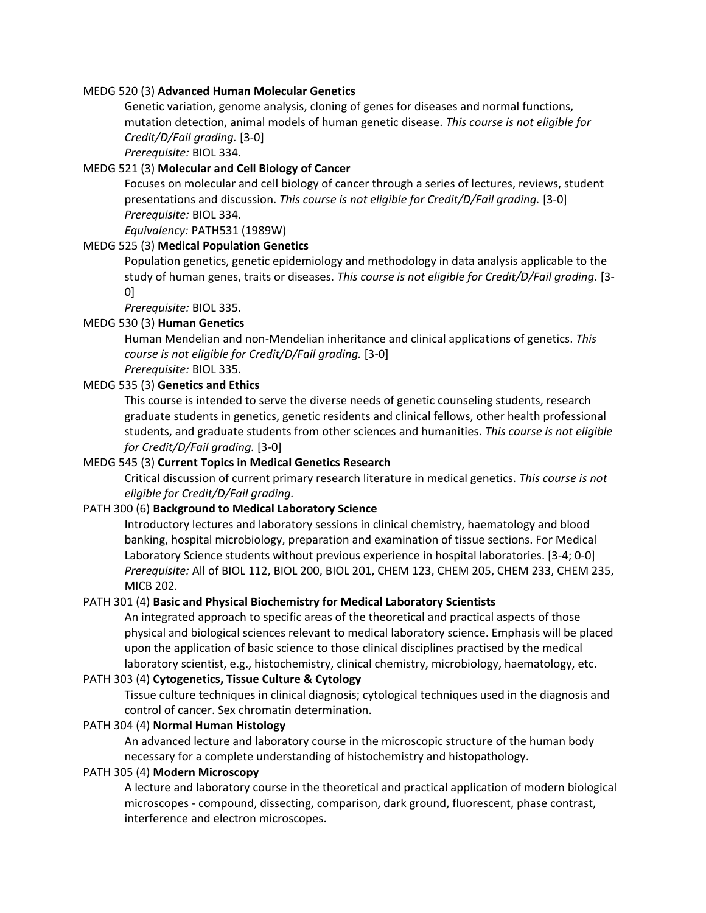#### MEDG 520 (3) **Advanced Human Molecular Genetics**

Genetic variation, genome analysis, cloning of genes for diseases and normal functions, mutation detection, animal models of human genetic disease. *This course is not eligible for Credit/D/Fail grading.* [3-0]

*Prerequisite:* BIOL 334.

## MEDG 521 (3) **Molecular and Cell Biology of Cancer**

Focuses on molecular and cell biology of cancer through a series of lectures, reviews, student presentations and discussion. *This course is not eligible for Credit/D/Fail grading.* [3-0] *Prerequisite:* BIOL 334.

#### *Equivalency:* PATH531 (1989W) MEDG 525 (3) **Medical Population Genetics**

Population genetics, genetic epidemiology and methodology in data analysis applicable to the study of human genes, traits or diseases. *This course is not eligible for Credit/D/Fail grading.* [3- 0]

*Prerequisite:* BIOL 335.

## MEDG 530 (3) **Human Genetics**

Human Mendelian and non-Mendelian inheritance and clinical applications of genetics. *This course is not eligible for Credit/D/Fail grading.* [3-0] *Prerequisite:* BIOL 335.

## MEDG 535 (3) **Genetics and Ethics**

This course is intended to serve the diverse needs of genetic counseling students, research graduate students in genetics, genetic residents and clinical fellows, other health professional students, and graduate students from other sciences and humanities. *This course is not eligible for Credit/D/Fail grading.* [3-0]

## MEDG 545 (3) **Current Topics in Medical Genetics Research**

Critical discussion of current primary research literature in medical genetics. *This course is not eligible for Credit/D/Fail grading.*

## PATH 300 (6) **Background to Medical Laboratory Science**

Introductory lectures and laboratory sessions in clinical chemistry, haematology and blood banking, hospital microbiology, preparation and examination of tissue sections. For Medical Laboratory Science students without previous experience in hospital laboratories. [3-4; 0-0] *Prerequisite:* All of BIOL 112, BIOL 200, BIOL 201, CHEM 123, CHEM 205, CHEM 233, CHEM 235, MICB 202.

#### PATH 301 (4) **Basic and Physical Biochemistry for Medical Laboratory Scientists**

An integrated approach to specific areas of the theoretical and practical aspects of those physical and biological sciences relevant to medical laboratory science. Emphasis will be placed upon the application of basic science to those clinical disciplines practised by the medical laboratory scientist, e.g., histochemistry, clinical chemistry, microbiology, haematology, etc.

#### PATH 303 (4) **Cytogenetics, Tissue Culture & Cytology**

Tissue culture techniques in clinical diagnosis; cytological techniques used in the diagnosis and control of cancer. Sex chromatin determination.

#### PATH 304 (4) **Normal Human Histology**

An advanced lecture and laboratory course in the microscopic structure of the human body necessary for a complete understanding of histochemistry and histopathology.

## PATH 305 (4) **Modern Microscopy**

A lecture and laboratory course in the theoretical and practical application of modern biological microscopes - compound, dissecting, comparison, dark ground, fluorescent, phase contrast, interference and electron microscopes.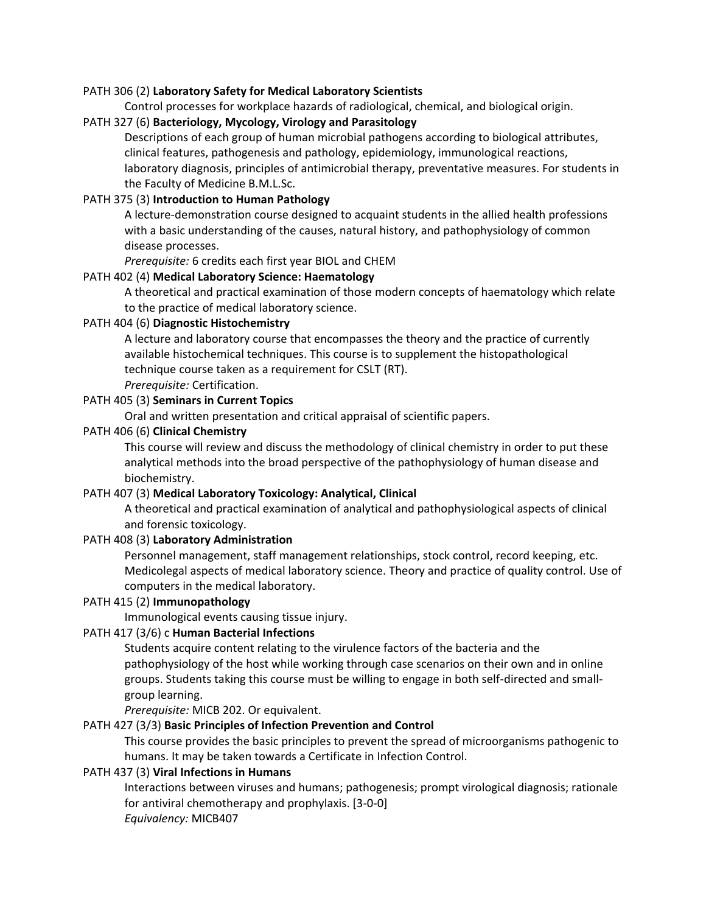#### PATH 306 (2) **Laboratory Safety for Medical Laboratory Scientists**

Control processes for workplace hazards of radiological, chemical, and biological origin.

## PATH 327 (6) **Bacteriology, Mycology, Virology and Parasitology**

Descriptions of each group of human microbial pathogens according to biological attributes, clinical features, pathogenesis and pathology, epidemiology, immunological reactions, laboratory diagnosis, principles of antimicrobial therapy, preventative measures. For students in the Faculty of Medicine B.M.L.Sc.

## PATH 375 (3) **Introduction to Human Pathology**

A lecture-demonstration course designed to acquaint students in the allied health professions with a basic understanding of the causes, natural history, and pathophysiology of common disease processes.

*Prerequisite:* 6 credits each first year BIOL and CHEM

#### PATH 402 (4) **Medical Laboratory Science: Haematology**

A theoretical and practical examination of those modern concepts of haematology which relate to the practice of medical laboratory science.

#### PATH 404 (6) **Diagnostic Histochemistry**

A lecture and laboratory course that encompasses the theory and the practice of currently available histochemical techniques. This course is to supplement the histopathological technique course taken as a requirement for CSLT (RT).

*Prerequisite:* Certification.

#### PATH 405 (3) **Seminars in Current Topics**

Oral and written presentation and critical appraisal of scientific papers.

#### PATH 406 (6) **Clinical Chemistry**

This course will review and discuss the methodology of clinical chemistry in order to put these analytical methods into the broad perspective of the pathophysiology of human disease and biochemistry.

#### PATH 407 (3) **Medical Laboratory Toxicology: Analytical, Clinical**

A theoretical and practical examination of analytical and pathophysiological aspects of clinical and forensic toxicology.

#### PATH 408 (3) **Laboratory Administration**

Personnel management, staff management relationships, stock control, record keeping, etc. Medicolegal aspects of medical laboratory science. Theory and practice of quality control. Use of computers in the medical laboratory.

#### PATH 415 (2) **Immunopathology**

Immunological events causing tissue injury.

## PATH 417 (3/6) c **Human Bacterial Infections**

Students acquire content relating to the virulence factors of the bacteria and the pathophysiology of the host while working through case scenarios on their own and in online groups. Students taking this course must be willing to engage in both self-directed and smallgroup learning.

*Prerequisite:* MICB 202. Or equivalent.

## PATH 427 (3/3) **Basic Principles of Infection Prevention and Control**

This course provides the basic principles to prevent the spread of microorganisms pathogenic to humans. It may be taken towards a Certificate in Infection Control.

#### PATH 437 (3) **Viral Infections in Humans**

Interactions between viruses and humans; pathogenesis; prompt virological diagnosis; rationale for antiviral chemotherapy and prophylaxis. [3-0-0] *Equivalency:* MICB407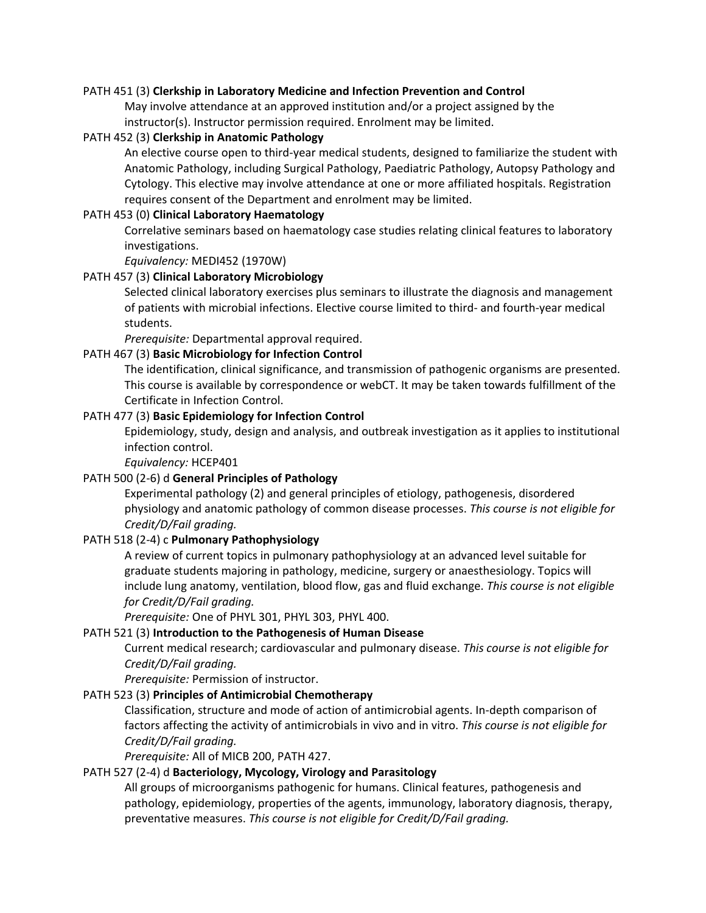#### PATH 451 (3) **Clerkship in Laboratory Medicine and Infection Prevention and Control**

May involve attendance at an approved institution and/or a project assigned by the instructor(s). Instructor permission required. Enrolment may be limited.

#### PATH 452 (3) **Clerkship in Anatomic Pathology**

An elective course open to third-year medical students, designed to familiarize the student with Anatomic Pathology, including Surgical Pathology, Paediatric Pathology, Autopsy Pathology and Cytology. This elective may involve attendance at one or more affiliated hospitals. Registration requires consent of the Department and enrolment may be limited.

#### PATH 453 (0) **Clinical Laboratory Haematology**

Correlative seminars based on haematology case studies relating clinical features to laboratory investigations.

*Equivalency:* MEDI452 (1970W)

#### PATH 457 (3) **Clinical Laboratory Microbiology**

Selected clinical laboratory exercises plus seminars to illustrate the diagnosis and management of patients with microbial infections. Elective course limited to third- and fourth-year medical students.

*Prerequisite:* Departmental approval required.

#### PATH 467 (3) **Basic Microbiology for Infection Control**

The identification, clinical significance, and transmission of pathogenic organisms are presented. This course is available by correspondence or webCT. It may be taken towards fulfillment of the Certificate in Infection Control.

#### PATH 477 (3) **Basic Epidemiology for Infection Control**

Epidemiology, study, design and analysis, and outbreak investigation as it applies to institutional infection control.

*Equivalency:* HCEP401

#### PATH 500 (2-6) d **General Principles of Pathology**

Experimental pathology (2) and general principles of etiology, pathogenesis, disordered physiology and anatomic pathology of common disease processes. *This course is not eligible for Credit/D/Fail grading.*

## PATH 518 (2-4) c **Pulmonary Pathophysiology**

A review of current topics in pulmonary pathophysiology at an advanced level suitable for graduate students majoring in pathology, medicine, surgery or anaesthesiology. Topics will include lung anatomy, ventilation, blood flow, gas and fluid exchange. *This course is not eligible for Credit/D/Fail grading.*

*Prerequisite:* One of PHYL 301, PHYL 303, PHYL 400.

#### PATH 521 (3) **Introduction to the Pathogenesis of Human Disease**

Current medical research; cardiovascular and pulmonary disease. *This course is not eligible for Credit/D/Fail grading.*

*Prerequisite:* Permission of instructor.

## PATH 523 (3) **Principles of Antimicrobial Chemotherapy**

Classification, structure and mode of action of antimicrobial agents. In-depth comparison of factors affecting the activity of antimicrobials in vivo and in vitro. *This course is not eligible for Credit/D/Fail grading.*

*Prerequisite:* All of MICB 200, PATH 427.

#### PATH 527 (2-4) d **Bacteriology, Mycology, Virology and Parasitology**

All groups of microorganisms pathogenic for humans. Clinical features, pathogenesis and pathology, epidemiology, properties of the agents, immunology, laboratory diagnosis, therapy, preventative measures. *This course is not eligible for Credit/D/Fail grading.*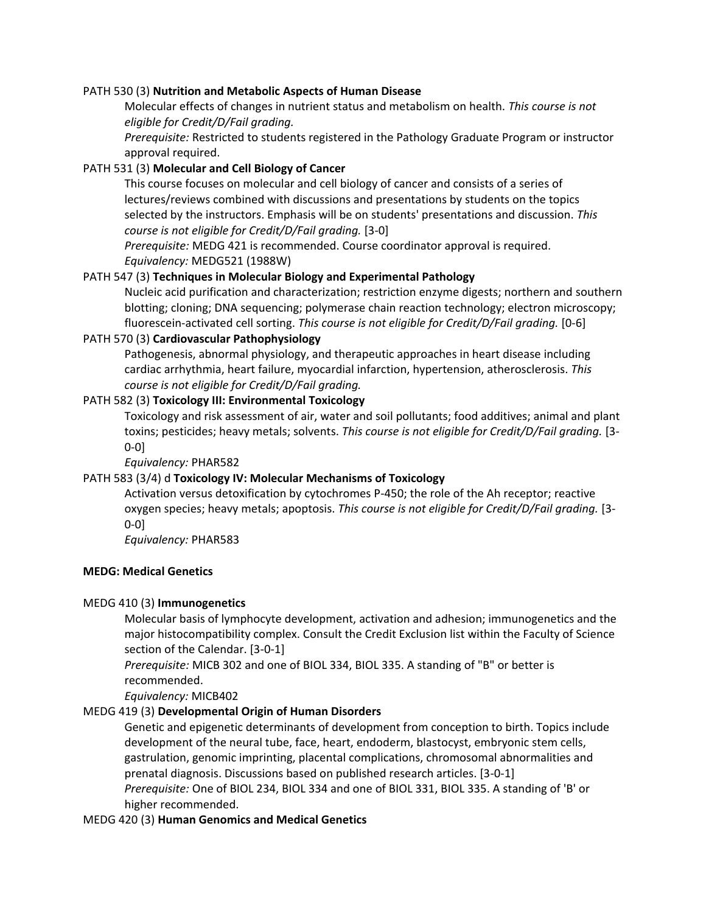#### PATH 530 (3) **Nutrition and Metabolic Aspects of Human Disease**

Molecular effects of changes in nutrient status and metabolism on health. *This course is not eligible for Credit/D/Fail grading.*

*Prerequisite:* Restricted to students registered in the Pathology Graduate Program or instructor approval required.

## PATH 531 (3) **Molecular and Cell Biology of Cancer**

This course focuses on molecular and cell biology of cancer and consists of a series of lectures/reviews combined with discussions and presentations by students on the topics selected by the instructors. Emphasis will be on students' presentations and discussion. *This course is not eligible for Credit/D/Fail grading.* [3-0]

*Prerequisite:* MEDG 421 is recommended. Course coordinator approval is required. *Equivalency:* MEDG521 (1988W)

#### PATH 547 (3) **Techniques in Molecular Biology and Experimental Pathology**

Nucleic acid purification and characterization; restriction enzyme digests; northern and southern blotting; cloning; DNA sequencing; polymerase chain reaction technology; electron microscopy; fluorescein-activated cell sorting. *This course is not eligible for Credit/D/Fail grading.* [0-6]

#### PATH 570 (3) **Cardiovascular Pathophysiology**

Pathogenesis, abnormal physiology, and therapeutic approaches in heart disease including cardiac arrhythmia, heart failure, myocardial infarction, hypertension, atherosclerosis. *This course is not eligible for Credit/D/Fail grading.*

#### PATH 582 (3) **Toxicology III: Environmental Toxicology**

Toxicology and risk assessment of air, water and soil pollutants; food additives; animal and plant toxins; pesticides; heavy metals; solvents. *This course is not eligible for Credit/D/Fail grading.* [3- 0-0]

*Equivalency:* PHAR582

## PATH 583 (3/4) d **Toxicology IV: Molecular Mechanisms of Toxicology**

Activation versus detoxification by cytochromes P-450; the role of the Ah receptor; reactive oxygen species; heavy metals; apoptosis. *This course is not eligible for Credit/D/Fail grading.* [3- 0-0]

*Equivalency:* PHAR583

# **MEDG: Medical Genetics**

# MEDG 410 (3) **Immunogenetics**

Molecular basis of lymphocyte development, activation and adhesion; immunogenetics and the major histocompatibility complex. Consult the Credit Exclusion list within the Faculty of Science section of the Calendar. [3-0-1]

*Prerequisite:* MICB 302 and one of BIOL 334, BIOL 335. A standing of "B" or better is recommended.

*Equivalency:* MICB402

## MEDG 419 (3) **Developmental Origin of Human Disorders**

Genetic and epigenetic determinants of development from conception to birth. Topics include development of the neural tube, face, heart, endoderm, blastocyst, embryonic stem cells, gastrulation, genomic imprinting, placental complications, chromosomal abnormalities and prenatal diagnosis. Discussions based on published research articles. [3-0-1] *Prerequisite:* One of BIOL 234, BIOL 334 and one of BIOL 331, BIOL 335. A standing of 'B' or

higher recommended.

MEDG 420 (3) **Human Genomics and Medical Genetics**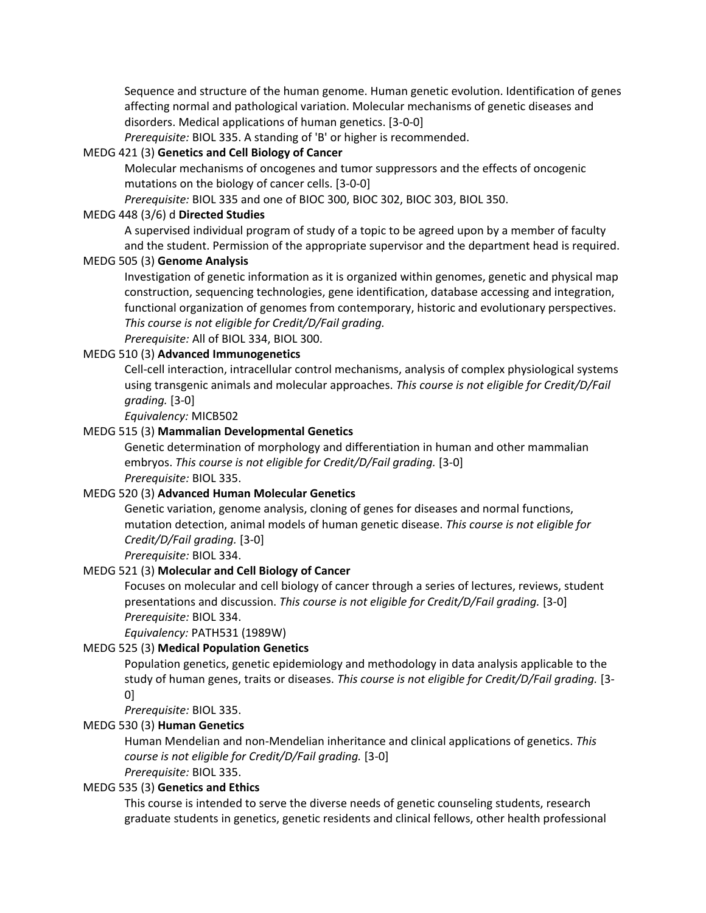Sequence and structure of the human genome. Human genetic evolution. Identification of genes affecting normal and pathological variation. Molecular mechanisms of genetic diseases and disorders. Medical applications of human genetics. [3-0-0]

*Prerequisite:* BIOL 335. A standing of 'B' or higher is recommended.

## MEDG 421 (3) **Genetics and Cell Biology of Cancer**

Molecular mechanisms of oncogenes and tumor suppressors and the effects of oncogenic mutations on the biology of cancer cells. [3-0-0]

*Prerequisite:* BIOL 335 and one of BIOC 300, BIOC 302, BIOC 303, BIOL 350.

#### MEDG 448 (3/6) d **Directed Studies**

A supervised individual program of study of a topic to be agreed upon by a member of faculty and the student. Permission of the appropriate supervisor and the department head is required.

#### MEDG 505 (3) **Genome Analysis**

Investigation of genetic information as it is organized within genomes, genetic and physical map construction, sequencing technologies, gene identification, database accessing and integration, functional organization of genomes from contemporary, historic and evolutionary perspectives. *This course is not eligible for Credit/D/Fail grading.*

*Prerequisite:* All of BIOL 334, BIOL 300.

# MEDG 510 (3) **Advanced Immunogenetics**

Cell-cell interaction, intracellular control mechanisms, analysis of complex physiological systems using transgenic animals and molecular approaches. *This course is not eligible for Credit/D/Fail grading.* [3-0]

*Equivalency:* MICB502

#### MEDG 515 (3) **Mammalian Developmental Genetics**

Genetic determination of morphology and differentiation in human and other mammalian embryos. *This course is not eligible for Credit/D/Fail grading.* [3-0] *Prerequisite:* BIOL 335.

#### MEDG 520 (3) **Advanced Human Molecular Genetics**

Genetic variation, genome analysis, cloning of genes for diseases and normal functions, mutation detection, animal models of human genetic disease. *This course is not eligible for Credit/D/Fail grading.* [3-0]

*Prerequisite:* BIOL 334.

#### MEDG 521 (3) **Molecular and Cell Biology of Cancer**

Focuses on molecular and cell biology of cancer through a series of lectures, reviews, student presentations and discussion. *This course is not eligible for Credit/D/Fail grading.* [3-0] *Prerequisite:* BIOL 334.

*Equivalency:* PATH531 (1989W)

#### MEDG 525 (3) **Medical Population Genetics**

Population genetics, genetic epidemiology and methodology in data analysis applicable to the study of human genes, traits or diseases. *This course is not eligible for Credit/D/Fail grading.* [3- 0]

*Prerequisite:* BIOL 335.

#### MEDG 530 (3) **Human Genetics**

Human Mendelian and non-Mendelian inheritance and clinical applications of genetics. *This course is not eligible for Credit/D/Fail grading.* [3-0] *Prerequisite:* BIOL 335.

# MEDG 535 (3) **Genetics and Ethics**

This course is intended to serve the diverse needs of genetic counseling students, research graduate students in genetics, genetic residents and clinical fellows, other health professional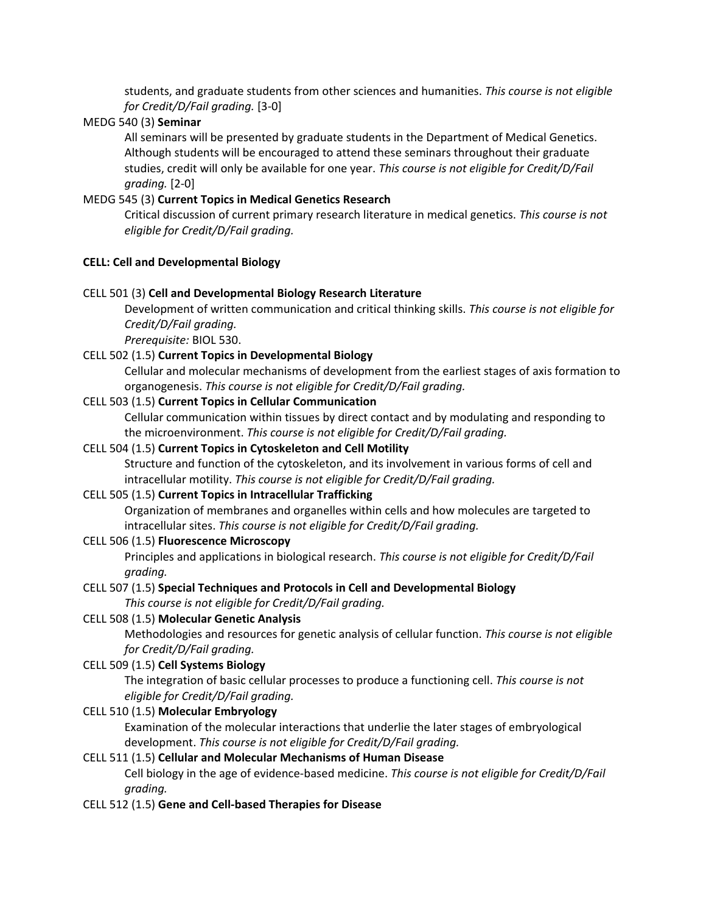students, and graduate students from other sciences and humanities. *This course is not eligible for Credit/D/Fail grading.* [3-0]

# MEDG 540 (3) **Seminar**

All seminars will be presented by graduate students in the Department of Medical Genetics. Although students will be encouraged to attend these seminars throughout their graduate studies, credit will only be available for one year. *This course is not eligible for Credit/D/Fail grading.* [2-0]

# MEDG 545 (3) **Current Topics in Medical Genetics Research**

Critical discussion of current primary research literature in medical genetics. *This course is not eligible for Credit/D/Fail grading.*

## **CELL: Cell and Developmental Biology**

## CELL 501 (3) **Cell and Developmental Biology Research Literature**

Development of written communication and critical thinking skills. *This course is not eligible for Credit/D/Fail grading.*

*Prerequisite:* BIOL 530.

# CELL 502 (1.5) **Current Topics in Developmental Biology**

Cellular and molecular mechanisms of development from the earliest stages of axis formation to organogenesis. *This course is not eligible for Credit/D/Fail grading.*

# CELL 503 (1.5) **Current Topics in Cellular Communication**

Cellular communication within tissues by direct contact and by modulating and responding to the microenvironment. *This course is not eligible for Credit/D/Fail grading.*

# CELL 504 (1.5) **Current Topics in Cytoskeleton and Cell Motility**

Structure and function of the cytoskeleton, and its involvement in various forms of cell and intracellular motility. *This course is not eligible for Credit/D/Fail grading.*

# CELL 505 (1.5) **Current Topics in Intracellular Trafficking**

Organization of membranes and organelles within cells and how molecules are targeted to intracellular sites. *This course is not eligible for Credit/D/Fail grading.*

## CELL 506 (1.5) **Fluorescence Microscopy**

Principles and applications in biological research. *This course is not eligible for Credit/D/Fail grading.*

# CELL 507 (1.5) **Special Techniques and Protocols in Cell and Developmental Biology**

*This course is not eligible for Credit/D/Fail grading.*

## CELL 508 (1.5) **Molecular Genetic Analysis**

Methodologies and resources for genetic analysis of cellular function. *This course is not eligible for Credit/D/Fail grading.*

## CELL 509 (1.5) **Cell Systems Biology**

The integration of basic cellular processes to produce a functioning cell. *This course is not eligible for Credit/D/Fail grading.*

## CELL 510 (1.5) **Molecular Embryology**

Examination of the molecular interactions that underlie the later stages of embryological development. *This course is not eligible for Credit/D/Fail grading.*

## CELL 511 (1.5) **Cellular and Molecular Mechanisms of Human Disease**

Cell biology in the age of evidence-based medicine. *This course is not eligible for Credit/D/Fail grading.*

## CELL 512 (1.5) **Gene and Cell-based Therapies for Disease**